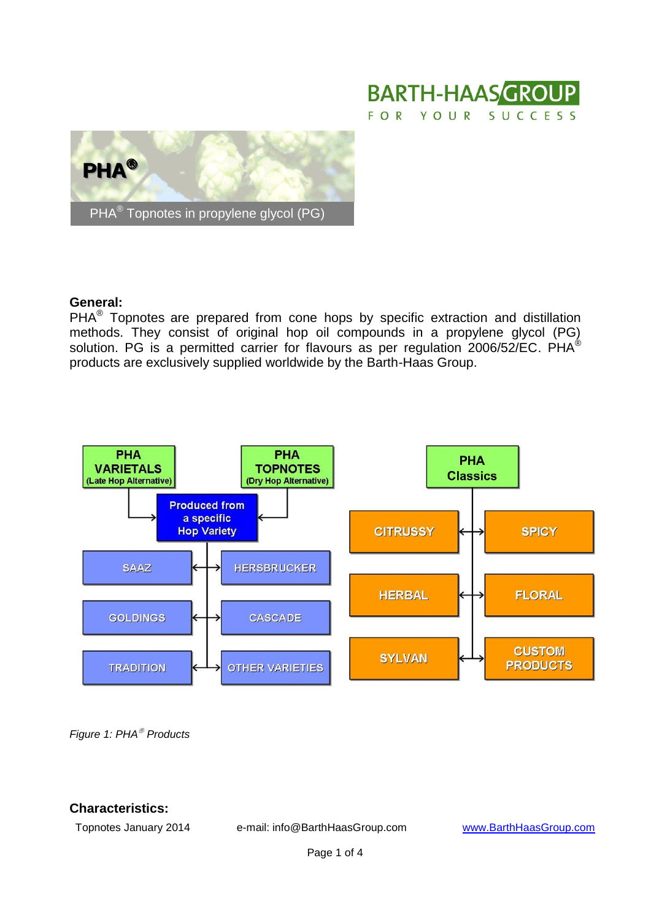



#### **General:**

 $PHA<sup>®</sup>$  Topnotes are prepared from cone hops by specific extraction and distillation methods. They consist of original hop oil compounds in a propylene glycol (PG) solution. PG is a permitted carrier for flavours as per regulation 2006/52/EC. PHA<sup>®</sup> products are exclusively supplied worldwide by the Barth-Haas Group.



*Figure 1: PHA Products*

### **Characteristics:**

Topnotes January 2014 e-mail: info@BarthHaasGroup.com [www.BarthHaasGroup.com](http://www.barthhaasgroup.com/)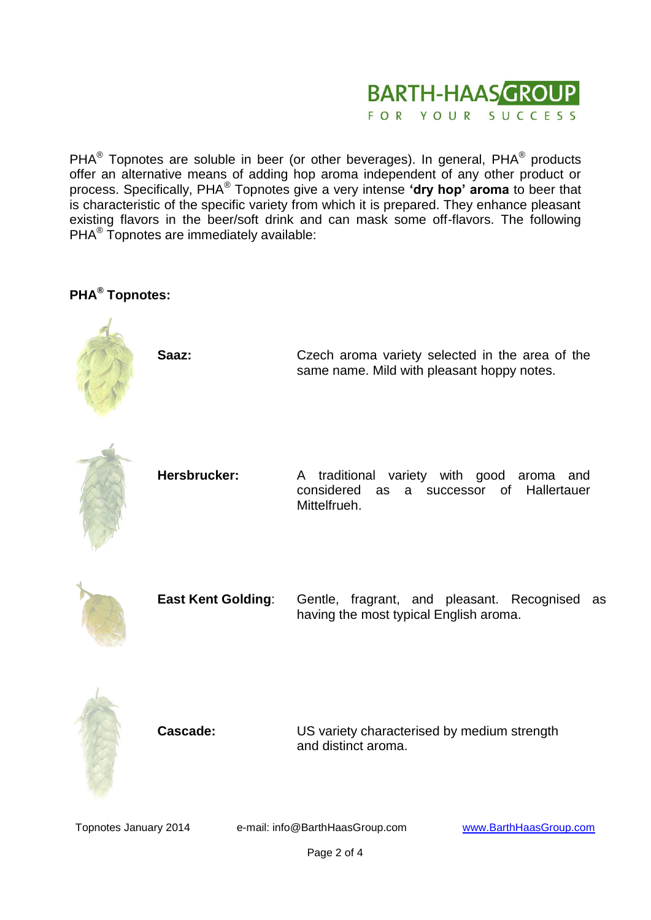

PHA $^{\circledR}$  Topnotes are soluble in beer (or other beverages). In general, PHA $^{\circledR}$  products offer an alternative means of adding hop aroma independent of any other product or process. Specifically, PHA<sup>®</sup> Topnotes give a very intense 'dry hop' aroma to beer that is characteristic of the specific variety from which it is prepared. They enhance pleasant existing flavors in the beer/soft drink and can mask some off-flavors. The following PHA<sup>®</sup> Topnotes are immediately available:

# **PHA® Topnotes:**





**Cascade:** US variety characterised by medium strength and distinct aroma.

Topnotes January 2014 e-mail: info@BarthHaasGroup.com [www.BarthHaasGroup.com](http://www.barthhaasgroup.com/)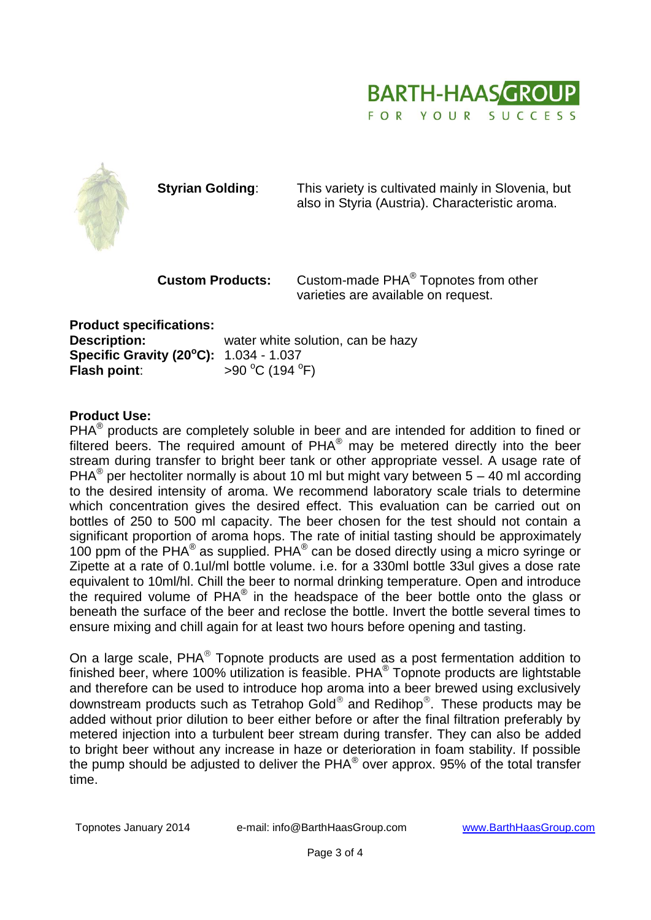



**Styrian Golding:** This variety is cultivated mainly in Slovenia, but also in Styria (Austria). Characteristic aroma.

**Custom Products:** Custom-made PHA® Topnotes from other varieties are available on request.

**Product specifications: Description:** water white solution, can be hazy **Specific Gravity (20<sup>o</sup>C):** 1.034 - 1.037 **Flash point:**  $>90^{\circ}$ C (194 $^{\circ}$ F)

# **Product Use:**

PHA $^{\circledR}$  products are completely soluble in beer and are intended for addition to fined or filtered beers. The required amount of PHA® may be metered directly into the beer stream during transfer to bright beer tank or other appropriate vessel. A usage rate of PHA<sup>®</sup> per hectoliter normally is about 10 ml but might vary between 5 – 40 ml according to the desired intensity of aroma. We recommend laboratory scale trials to determine which concentration gives the desired effect. This evaluation can be carried out on bottles of 250 to 500 ml capacity. The beer chosen for the test should not contain a significant proportion of aroma hops. The rate of initial tasting should be approximately 100 ppm of the PHA® as supplied. PHA® can be dosed directly using a micro syringe or Zipette at a rate of 0.1ul/ml bottle volume. i.e. for a 330ml bottle 33ul gives a dose rate equivalent to 10ml/hl. Chill the beer to normal drinking temperature. Open and introduce the required volume of  $PHA^{\circledast}$  in the headspace of the beer bottle onto the glass or beneath the surface of the beer and reclose the bottle. Invert the bottle several times to ensure mixing and chill again for at least two hours before opening and tasting.

On a large scale, PHA $^{\circ}$  Topnote products are used as a post fermentation addition to finished beer, where 100% utilization is feasible. PHA $^{\circledR}$  Topnote products are lightstable and therefore can be used to introduce hop aroma into a beer brewed using exclusively downstream products such as Tetrahop Gold® and Redihop®. These products may be added without prior dilution to beer either before or after the final filtration preferably by metered injection into a turbulent beer stream during transfer. They can also be added to bright beer without any increase in haze or deterioration in foam stability. If possible the pump should be adjusted to deliver the PHA® over approx. 95% of the total transfer time.

Topnotes January 2014 e-mail: info@BarthHaasGroup.com [www.BarthHaasGroup.com](http://www.barthhaasgroup.com/)